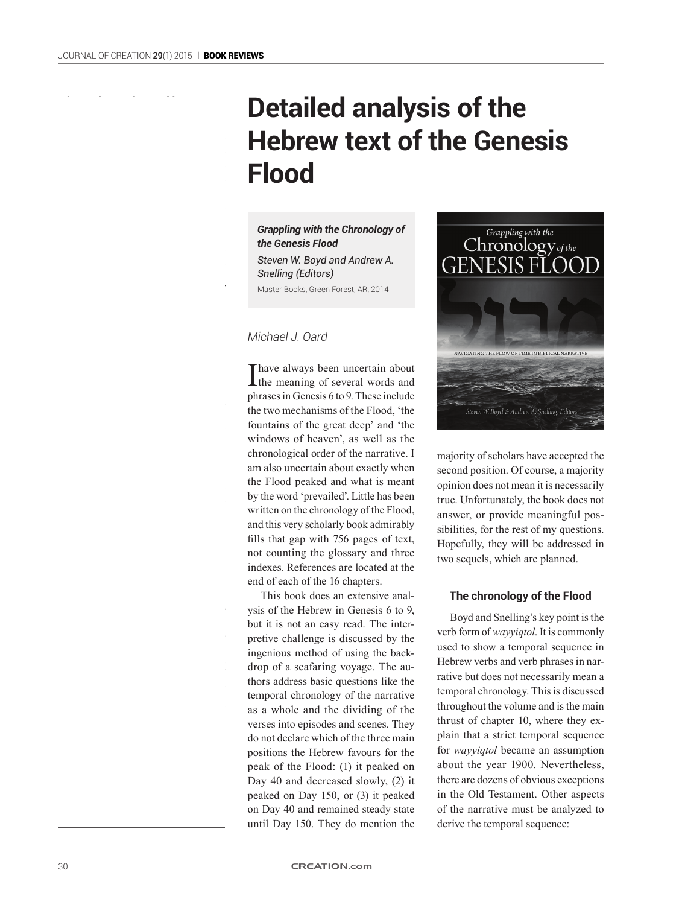This shows his zero understanding of

# **Detailed analysis of the Hebrew text of the Genesis Flood**

*Grappling with the Chronology of the Genesis Flood*

*Steven W. Boyd and Andrew A. Snelling (Editors)* Master Books, Green Forest, AR, 2014

### *Michael J. Oard*

Thave always been uncertain about<br>the meaning of several words and phrases in Genesis 6 to 9. These include the two mechanisms of the Flood, 'the fountains of the great deep' and 'the windows of heaven', as well as the chronological order of the narrative. I am also uncertain about exactly when the Flood peaked and what is meant by the word 'prevailed'. Little has been written on the chronology of the Flood, and this very scholarly book admirably fills that gap with 756 pages of text, not counting the glossary and three indexes. References are located at the end of each of the 16 chapters.

This book does an extensive analysis of the Hebrew in Genesis 6 to 9, but it is not an easy read. The interpretive challenge is discussed by the ingenious method of using the backdrop of a seafaring voyage. The authors address basic questions like the temporal chronology of the narrative as a whole and the dividing of the verses into episodes and scenes. They do not declare which of the three main positions the Hebrew favours for the peak of the Flood: (1) it peaked on Day 40 and decreased slowly, (2) it peaked on Day 150, or (3) it peaked on Day 40 and remained steady state until Day 150. They do mention the



majority of scholars have accepted the second position. Of course, a majority opinion does not mean it is necessarily true. Unfortunately, the book does not answer, or provide meaningful possibilities, for the rest of my questions. Hopefully, they will be addressed in two sequels, which are planned.

#### **The chronology of the Flood**

Boyd and Snelling's key point is the verb form of *wayyiqtol*. It is commonly used to show a temporal sequence in Hebrew verbs and verb phrases in narrative but does not necessarily mean a temporal chronology. This is discussed throughout the volume and is the main thrust of chapter 10, where they explain that a strict temporal sequence for *wayyiqtol* became an assumption about the year 1900. Nevertheless, there are dozens of obvious exceptions in the Old Testament. Other aspects of the narrative must be analyzed to derive the temporal sequence: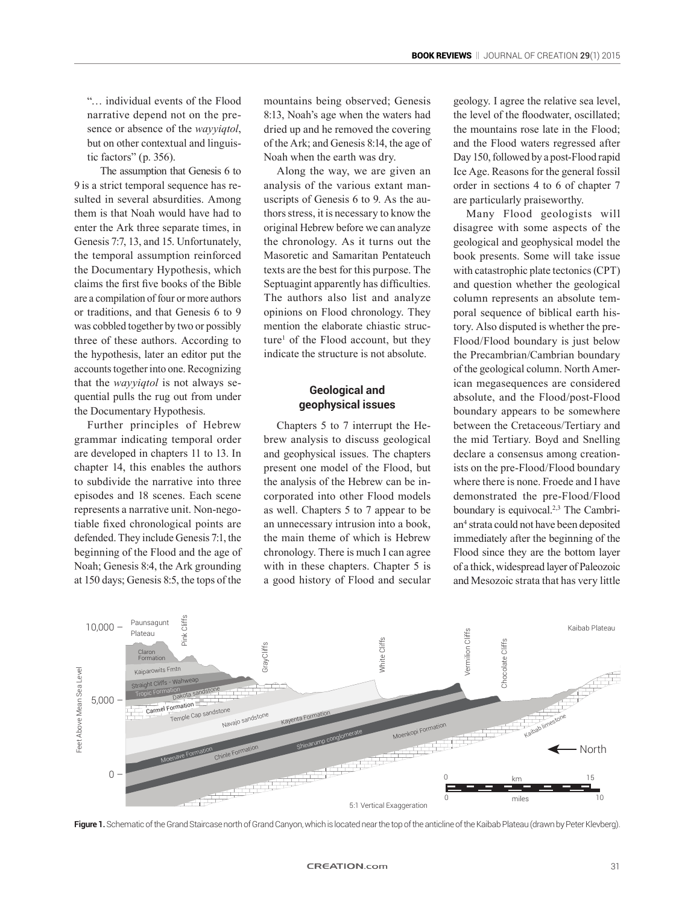"… individual events of the Flood narrative depend not on the presence or absence of the *wayyiqtol*, but on other contextual and linguistic factors" (p. 356).

The assumption that Genesis 6 to 9 is a strict temporal sequence has resulted in several absurdities. Among them is that Noah would have had to enter the Ark three separate times, in Genesis 7:7, 13, and 15. Unfortunately, the temporal assumption reinforced the Documentary Hypothesis, which claims the first five books of the Bible are a compilation of four or more authors or traditions, and that Genesis 6 to 9 was cobbled together by two or possibly three of these authors. According to the hypothesis, later an editor put the accounts together into one. Recognizing that the *wayyiqtol* is not always sequential pulls the rug out from under the Documentary Hypothesis.

Further principles of Hebrew grammar indicating temporal order are developed in chapters 11 to 13. In chapter 14, this enables the authors to subdivide the narrative into three episodes and 18 scenes. Each scene represents a narrative unit. Non-negotiable fixed chronological points are defended. They include Genesis 7:1, the beginning of the Flood and the age of Noah; Genesis 8:4, the Ark grounding at 150 days; Genesis 8:5, the tops of the mountains being observed; Genesis 8:13, Noah's age when the waters had dried up and he removed the covering of the Ark; and Genesis 8:14, the age of Noah when the earth was dry.

Along the way, we are given an analysis of the various extant manuscripts of Genesis 6 to 9. As the authors stress, it is necessary to know the original Hebrew before we can analyze the chronology. As it turns out the Masoretic and Samaritan Pentateuch texts are the best for this purpose. The Septuagint apparently has difficulties. The authors also list and analyze opinions on Flood chronology. They mention the elaborate chiastic structure<sup>1</sup> of the Flood account, but they indicate the structure is not absolute.

## **Geological and geophysical issues**

Chapters 5 to 7 interrupt the Hebrew analysis to discuss geological and geophysical issues. The chapters present one model of the Flood, but the analysis of the Hebrew can be incorporated into other Flood models as well. Chapters 5 to 7 appear to be an unnecessary intrusion into a book, the main theme of which is Hebrew chronology. There is much I can agree with in these chapters. Chapter 5 is a good history of Flood and secular

geology. I agree the relative sea level, the level of the floodwater, oscillated; the mountains rose late in the Flood; and the Flood waters regressed after Day 150, followed by a post-Flood rapid Ice Age. Reasons for the general fossil order in sections 4 to 6 of chapter 7 are particularly praiseworthy.

Many Flood geologists will disagree with some aspects of the geological and geophysical model the book presents. Some will take issue with catastrophic plate tectonics (CPT) and question whether the geological column represents an absolute temporal sequence of biblical earth history. Also disputed is whether the pre-Flood/Flood boundary is just below the Precambrian/Cambrian boundary of the geological column. North American megasequences are considered absolute, and the Flood/post-Flood boundary appears to be somewhere between the Cretaceous/Tertiary and the mid Tertiary. Boyd and Snelling declare a consensus among creationists on the pre-Flood/Flood boundary where there is none. Froede and I have demonstrated the pre-Flood/Flood boundary is equivocal.<sup>2,3</sup> The Cambrian<sup>4</sup> strata could not have been deposited immediately after the beginning of the Flood since they are the bottom layer of a thick, widespread layer of Paleozoic and Mesozoic strata that has very little



**Figure 1.** Schematic of the Grand Staircase north of Grand Canyon, which is located near the top of the anticline of the Kaibab Plateau (drawn by Peter Klevberg).